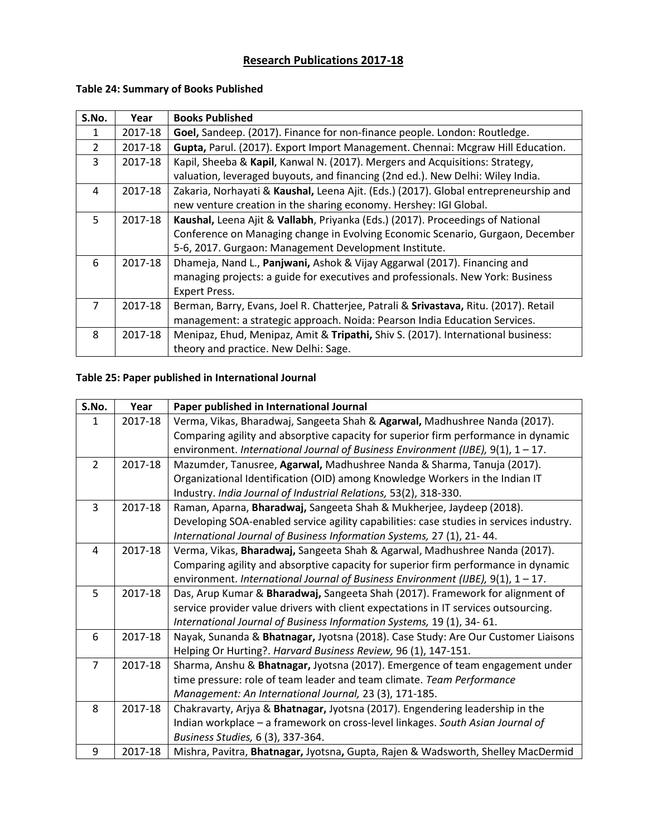# **Research Publications 2017-18**

| S.No. | Year    | <b>Books Published</b>                                                               |
|-------|---------|--------------------------------------------------------------------------------------|
| 1     | 2017-18 | Goel, Sandeep. (2017). Finance for non-finance people. London: Routledge.            |
| 2     | 2017-18 | Gupta, Parul. (2017). Export Import Management. Chennai: Mcgraw Hill Education.      |
| 3     | 2017-18 | Kapil, Sheeba & Kapil, Kanwal N. (2017). Mergers and Acquisitions: Strategy,         |
|       |         | valuation, leveraged buyouts, and financing (2nd ed.). New Delhi: Wiley India.       |
| 4     | 2017-18 | Zakaria, Norhayati & Kaushal, Leena Ajit. (Eds.) (2017). Global entrepreneurship and |
|       |         | new venture creation in the sharing economy. Hershey: IGI Global.                    |
| 5.    | 2017-18 | Kaushal, Leena Ajit & Vallabh, Priyanka (Eds.) (2017). Proceedings of National       |
|       |         | Conference on Managing change in Evolving Economic Scenario, Gurgaon, December       |
|       |         | 5-6, 2017. Gurgaon: Management Development Institute.                                |
| 6     | 2017-18 | Dhameja, Nand L., Panjwani, Ashok & Vijay Aggarwal (2017). Financing and             |
|       |         | managing projects: a guide for executives and professionals. New York: Business      |
|       |         | <b>Expert Press.</b>                                                                 |
| 7     | 2017-18 | Berman, Barry, Evans, Joel R. Chatterjee, Patrali & Srivastava, Ritu. (2017). Retail |
|       |         | management: a strategic approach. Noida: Pearson India Education Services.           |
| 8     | 2017-18 | Menipaz, Ehud, Menipaz, Amit & Tripathi, Shiv S. (2017). International business:     |
|       |         | theory and practice. New Delhi: Sage.                                                |

## **Table 24: Summary of Books Published**

#### **Table 25: Paper published in International Journal**

| S.No.          | Year    | Paper published in International Journal                                                |
|----------------|---------|-----------------------------------------------------------------------------------------|
| $\mathbf{1}$   | 2017-18 | Verma, Vikas, Bharadwaj, Sangeeta Shah & Agarwal, Madhushree Nanda (2017).              |
|                |         | Comparing agility and absorptive capacity for superior firm performance in dynamic      |
|                |         | environment. International Journal of Business Environment (IJBE), $9(1)$ , $1 - 17$ .  |
| $\overline{2}$ | 2017-18 | Mazumder, Tanusree, Agarwal, Madhushree Nanda & Sharma, Tanuja (2017).                  |
|                |         | Organizational Identification (OID) among Knowledge Workers in the Indian IT            |
|                |         | Industry. India Journal of Industrial Relations, 53(2), 318-330.                        |
| $\overline{3}$ | 2017-18 | Raman, Aparna, Bharadwaj, Sangeeta Shah & Mukherjee, Jaydeep (2018).                    |
|                |         | Developing SOA-enabled service agility capabilities: case studies in services industry. |
|                |         | International Journal of Business Information Systems, 27 (1), 21-44.                   |
| $\overline{4}$ | 2017-18 | Verma, Vikas, Bharadwaj, Sangeeta Shah & Agarwal, Madhushree Nanda (2017).              |
|                |         | Comparing agility and absorptive capacity for superior firm performance in dynamic      |
|                |         | environment. International Journal of Business Environment (IJBE), 9(1), 1 - 17.        |
| 5              | 2017-18 | Das, Arup Kumar & Bharadwaj, Sangeeta Shah (2017). Framework for alignment of           |
|                |         | service provider value drivers with client expectations in IT services outsourcing.     |
|                |         | International Journal of Business Information Systems, 19 (1), 34-61.                   |
| 6              | 2017-18 | Nayak, Sunanda & Bhatnagar, Jyotsna (2018). Case Study: Are Our Customer Liaisons       |
|                |         | Helping Or Hurting?. Harvard Business Review, 96 (1), 147-151.                          |
| $\overline{7}$ | 2017-18 | Sharma, Anshu & Bhatnagar, Jyotsna (2017). Emergence of team engagement under           |
|                |         | time pressure: role of team leader and team climate. Team Performance                   |
|                |         | Management: An International Journal, 23 (3), 171-185.                                  |
| 8              | 2017-18 | Chakravarty, Arjya & Bhatnagar, Jyotsna (2017). Engendering leadership in the           |
|                |         | Indian workplace - a framework on cross-level linkages. South Asian Journal of          |
|                |         | Business Studies, 6 (3), 337-364.                                                       |
| 9              | 2017-18 | Mishra, Pavitra, Bhatnagar, Jyotsna, Gupta, Rajen & Wadsworth, Shelley MacDermid        |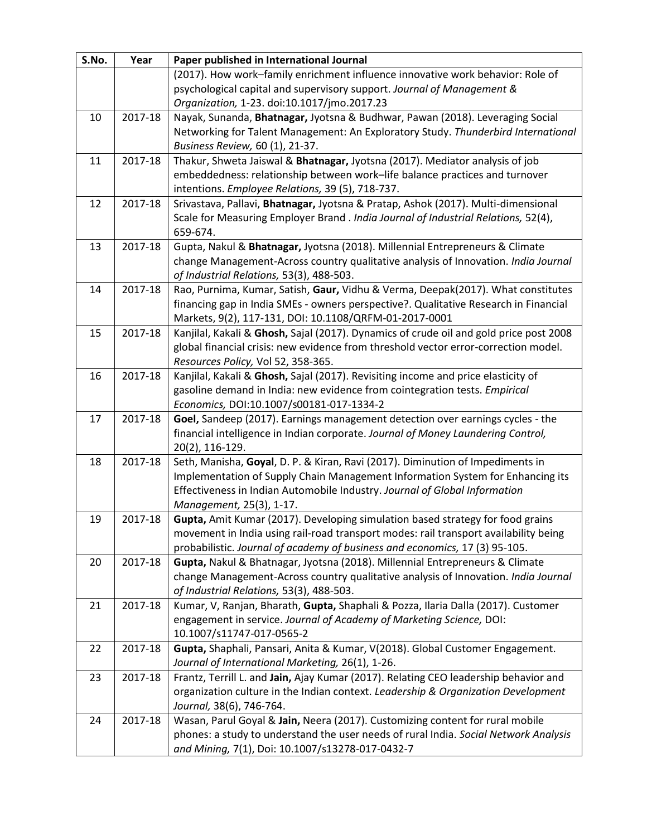| S.No. | Year    | Paper published in International Journal                                                                                  |
|-------|---------|---------------------------------------------------------------------------------------------------------------------------|
|       |         | (2017). How work-family enrichment influence innovative work behavior: Role of                                            |
|       |         | psychological capital and supervisory support. Journal of Management &                                                    |
|       |         | Organization, 1-23. doi:10.1017/jmo.2017.23                                                                               |
| 10    | 2017-18 | Nayak, Sunanda, Bhatnagar, Jyotsna & Budhwar, Pawan (2018). Leveraging Social                                             |
|       |         | Networking for Talent Management: An Exploratory Study. Thunderbird International                                         |
|       |         | Business Review, 60 (1), 21-37.                                                                                           |
| 11    | 2017-18 | Thakur, Shweta Jaiswal & Bhatnagar, Jyotsna (2017). Mediator analysis of job                                              |
|       |         | embeddedness: relationship between work-life balance practices and turnover                                               |
|       |         | intentions. Employee Relations, 39 (5), 718-737.                                                                          |
| 12    | 2017-18 | Srivastava, Pallavi, Bhatnagar, Jyotsna & Pratap, Ashok (2017). Multi-dimensional                                         |
|       |         | Scale for Measuring Employer Brand . India Journal of Industrial Relations, 52(4),                                        |
|       |         | 659-674.                                                                                                                  |
| 13    | 2017-18 | Gupta, Nakul & Bhatnagar, Jyotsna (2018). Millennial Entrepreneurs & Climate                                              |
|       |         | change Management-Across country qualitative analysis of Innovation. India Journal                                        |
|       |         | of Industrial Relations, 53(3), 488-503.                                                                                  |
| 14    | 2017-18 | Rao, Purnima, Kumar, Satish, Gaur, Vidhu & Verma, Deepak(2017). What constitutes                                          |
|       |         | financing gap in India SMEs - owners perspective?. Qualitative Research in Financial                                      |
|       |         | Markets, 9(2), 117-131, DOI: 10.1108/QRFM-01-2017-0001                                                                    |
| 15    | 2017-18 | Kanjilal, Kakali & Ghosh, Sajal (2017). Dynamics of crude oil and gold price post 2008                                    |
|       |         | global financial crisis: new evidence from threshold vector error-correction model.<br>Resources Policy, Vol 52, 358-365. |
| 16    | 2017-18 | Kanjilal, Kakali & Ghosh, Sajal (2017). Revisiting income and price elasticity of                                         |
|       |         | gasoline demand in India: new evidence from cointegration tests. Empirical                                                |
|       |         | Economics, DOI:10.1007/s00181-017-1334-2                                                                                  |
| 17    | 2017-18 | Goel, Sandeep (2017). Earnings management detection over earnings cycles - the                                            |
|       |         | financial intelligence in Indian corporate. Journal of Money Laundering Control,                                          |
|       |         | 20(2), 116-129.                                                                                                           |
| 18    | 2017-18 | Seth, Manisha, Goyal, D. P. & Kiran, Ravi (2017). Diminution of Impediments in                                            |
|       |         | Implementation of Supply Chain Management Information System for Enhancing its                                            |
|       |         | Effectiveness in Indian Automobile Industry. Journal of Global Information                                                |
|       |         | Management, 25(3), 1-17.                                                                                                  |
| 19    | 2017-18 | Gupta, Amit Kumar (2017). Developing simulation based strategy for food grains                                            |
|       |         | movement in India using rail-road transport modes: rail transport availability being                                      |
|       |         | probabilistic. Journal of academy of business and economics, 17 (3) 95-105.                                               |
| 20    | 2017-18 | Gupta, Nakul & Bhatnagar, Jyotsna (2018). Millennial Entrepreneurs & Climate                                              |
|       |         | change Management-Across country qualitative analysis of Innovation. India Journal                                        |
|       |         | of Industrial Relations, 53(3), 488-503.                                                                                  |
| 21    | 2017-18 | Kumar, V, Ranjan, Bharath, Gupta, Shaphali & Pozza, Ilaria Dalla (2017). Customer                                         |
|       |         | engagement in service. Journal of Academy of Marketing Science, DOI:                                                      |
|       |         | 10.1007/s11747-017-0565-2                                                                                                 |
| 22    | 2017-18 | Gupta, Shaphali, Pansari, Anita & Kumar, V(2018). Global Customer Engagement.                                             |
|       |         | Journal of International Marketing, 26(1), 1-26.                                                                          |
| 23    | 2017-18 | Frantz, Terrill L. and Jain, Ajay Kumar (2017). Relating CEO leadership behavior and                                      |
|       |         | organization culture in the Indian context. Leadership & Organization Development                                         |
| 24    | 2017-18 | Journal, 38(6), 746-764.<br>Wasan, Parul Goyal & Jain, Neera (2017). Customizing content for rural mobile                 |
|       |         | phones: a study to understand the user needs of rural India. Social Network Analysis                                      |
|       |         | and Mining, 7(1), Doi: 10.1007/s13278-017-0432-7                                                                          |
|       |         |                                                                                                                           |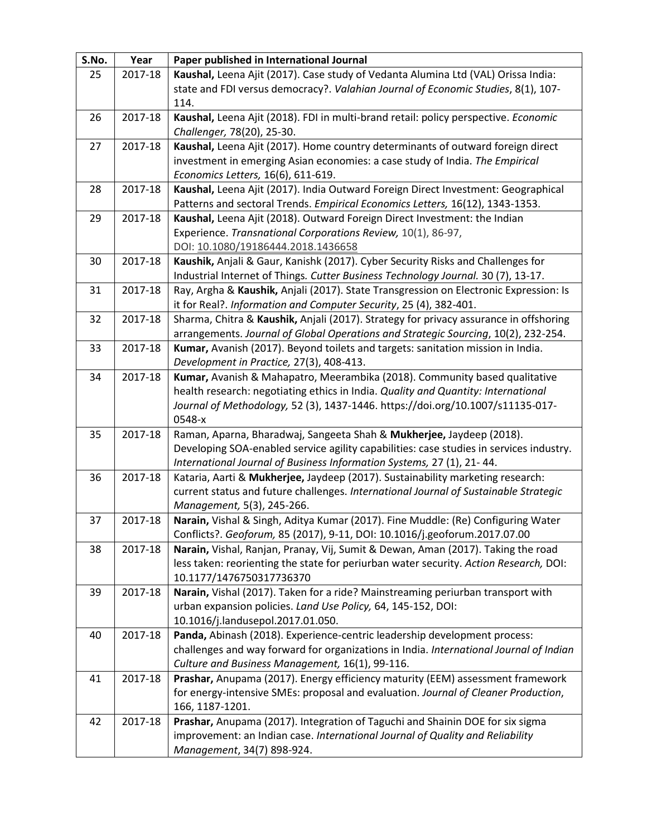| S.No. | Year    | Paper published in International Journal                                                                       |
|-------|---------|----------------------------------------------------------------------------------------------------------------|
| 25    | 2017-18 | Kaushal, Leena Ajit (2017). Case study of Vedanta Alumina Ltd (VAL) Orissa India:                              |
|       |         | state and FDI versus democracy?. Valahian Journal of Economic Studies, 8(1), 107-                              |
|       |         | 114.                                                                                                           |
| 26    | 2017-18 | Kaushal, Leena Ajit (2018). FDI in multi-brand retail: policy perspective. Economic                            |
|       |         | Challenger, 78(20), 25-30.                                                                                     |
| 27    | 2017-18 | Kaushal, Leena Ajit (2017). Home country determinants of outward foreign direct                                |
|       |         | investment in emerging Asian economies: a case study of India. The Empirical                                   |
|       |         | Economics Letters, 16(6), 611-619.                                                                             |
| 28    | 2017-18 | Kaushal, Leena Ajit (2017). India Outward Foreign Direct Investment: Geographical                              |
|       |         | Patterns and sectoral Trends. Empirical Economics Letters, 16(12), 1343-1353.                                  |
| 29    | 2017-18 | Kaushal, Leena Ajit (2018). Outward Foreign Direct Investment: the Indian                                      |
|       |         | Experience. Transnational Corporations Review, 10(1), 86-97,                                                   |
|       |         | DOI: 10.1080/19186444.2018.1436658                                                                             |
| 30    | 2017-18 | Kaushik, Anjali & Gaur, Kanishk (2017). Cyber Security Risks and Challenges for                                |
|       |         | Industrial Internet of Things. Cutter Business Technology Journal. 30 (7), 13-17.                              |
| 31    | 2017-18 | Ray, Argha & Kaushik, Anjali (2017). State Transgression on Electronic Expression: Is                          |
|       |         | it for Real?. Information and Computer Security, 25 (4), 382-401.                                              |
| 32    | 2017-18 | Sharma, Chitra & Kaushik, Anjali (2017). Strategy for privacy assurance in offshoring                          |
|       |         | arrangements. Journal of Global Operations and Strategic Sourcing, 10(2), 232-254.                             |
| 33    | 2017-18 | Kumar, Avanish (2017). Beyond toilets and targets: sanitation mission in India.                                |
|       |         | Development in Practice, 27(3), 408-413.                                                                       |
| 34    | 2017-18 | Kumar, Avanish & Mahapatro, Meerambika (2018). Community based qualitative                                     |
|       |         | health research: negotiating ethics in India. Quality and Quantity: International                              |
|       |         | Journal of Methodology, 52 (3), 1437-1446. https://doi.org/10.1007/s11135-017-                                 |
|       |         | 0548-x                                                                                                         |
| 35    | 2017-18 | Raman, Aparna, Bharadwaj, Sangeeta Shah & Mukherjee, Jaydeep (2018).                                           |
|       |         | Developing SOA-enabled service agility capabilities: case studies in services industry.                        |
|       |         | International Journal of Business Information Systems, 27 (1), 21-44.                                          |
| 36    | 2017-18 | Kataria, Aarti & Mukherjee, Jaydeep (2017). Sustainability marketing research:                                 |
|       |         | current status and future challenges. International Journal of Sustainable Strategic                           |
| 37    |         | Management, 5(3), 245-266.<br>Narain, Vishal & Singh, Aditya Kumar (2017). Fine Muddle: (Re) Configuring Water |
|       | 2017-18 | Conflicts?. Geoforum, 85 (2017), 9-11, DOI: 10.1016/j.geoforum.2017.07.00                                      |
| 38    | 2017-18 | Narain, Vishal, Ranjan, Pranay, Vij, Sumit & Dewan, Aman (2017). Taking the road                               |
|       |         | less taken: reorienting the state for periurban water security. Action Research, DOI:                          |
|       |         | 10.1177/1476750317736370                                                                                       |
| 39    | 2017-18 | Narain, Vishal (2017). Taken for a ride? Mainstreaming periurban transport with                                |
|       |         | urban expansion policies. Land Use Policy, 64, 145-152, DOI:                                                   |
|       |         | 10.1016/j.landusepol.2017.01.050.                                                                              |
| 40    | 2017-18 | Panda, Abinash (2018). Experience-centric leadership development process:                                      |
|       |         | challenges and way forward for organizations in India. International Journal of Indian                         |
|       |         | Culture and Business Management, 16(1), 99-116.                                                                |
| 41    | 2017-18 | Prashar, Anupama (2017). Energy efficiency maturity (EEM) assessment framework                                 |
|       |         | for energy-intensive SMEs: proposal and evaluation. Journal of Cleaner Production,                             |
|       |         | 166, 1187-1201.                                                                                                |
| 42    | 2017-18 | Prashar, Anupama (2017). Integration of Taguchi and Shainin DOE for six sigma                                  |
|       |         | improvement: an Indian case. International Journal of Quality and Reliability                                  |
|       |         | Management, 34(7) 898-924.                                                                                     |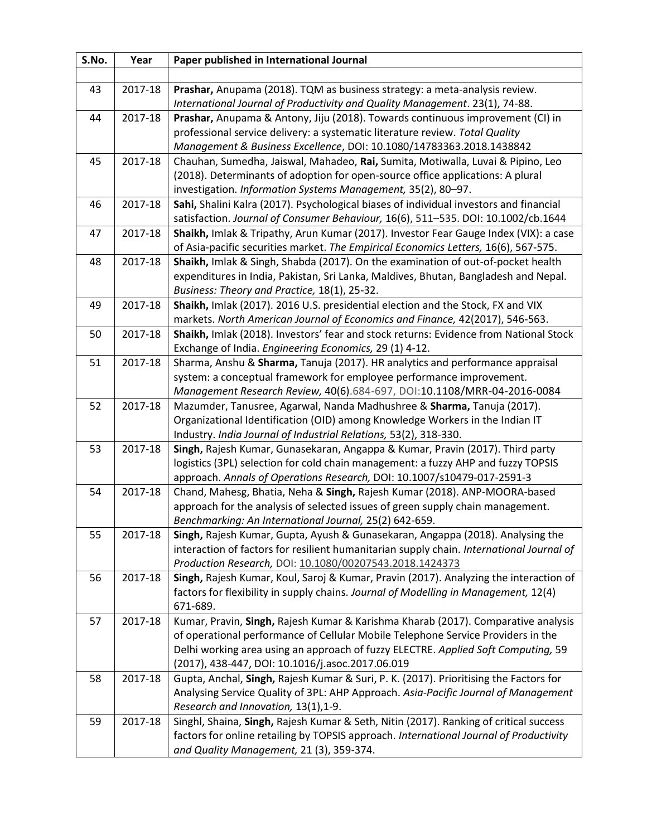| S.No. | Year    | Paper published in International Journal                                                                                                          |
|-------|---------|---------------------------------------------------------------------------------------------------------------------------------------------------|
|       |         |                                                                                                                                                   |
| 43    | 2017-18 | Prashar, Anupama (2018). TQM as business strategy: a meta-analysis review.                                                                        |
|       |         | International Journal of Productivity and Quality Management. 23(1), 74-88.                                                                       |
| 44    | 2017-18 | Prashar, Anupama & Antony, Jiju (2018). Towards continuous improvement (CI) in                                                                    |
|       |         | professional service delivery: a systematic literature review. Total Quality                                                                      |
|       |         | Management & Business Excellence, DOI: 10.1080/14783363.2018.1438842                                                                              |
| 45    | 2017-18 | Chauhan, Sumedha, Jaiswal, Mahadeo, Rai, Sumita, Motiwalla, Luvai & Pipino, Leo                                                                   |
|       |         | (2018). Determinants of adoption for open-source office applications: A plural                                                                    |
|       |         | investigation. Information Systems Management, 35(2), 80-97.                                                                                      |
| 46    | 2017-18 | Sahi, Shalini Kalra (2017). Psychological biases of individual investors and financial                                                            |
|       |         | satisfaction. Journal of Consumer Behaviour, 16(6), 511-535. DOI: 10.1002/cb.1644                                                                 |
| 47    | 2017-18 | Shaikh, Imlak & Tripathy, Arun Kumar (2017). Investor Fear Gauge Index (VIX): a case                                                              |
|       |         | of Asia-pacific securities market. The Empirical Economics Letters, 16(6), 567-575.                                                               |
| 48    | 2017-18 | Shaikh, Imlak & Singh, Shabda (2017). On the examination of out-of-pocket health                                                                  |
|       |         | expenditures in India, Pakistan, Sri Lanka, Maldives, Bhutan, Bangladesh and Nepal.                                                               |
|       |         | Business: Theory and Practice, 18(1), 25-32.                                                                                                      |
| 49    | 2017-18 | Shaikh, Imlak (2017). 2016 U.S. presidential election and the Stock, FX and VIX                                                                   |
|       |         | markets. North American Journal of Economics and Finance, 42(2017), 546-563.                                                                      |
| 50    | 2017-18 | Shaikh, Imlak (2018). Investors' fear and stock returns: Evidence from National Stock                                                             |
|       |         | Exchange of India. Engineering Economics, 29 (1) 4-12.                                                                                            |
| 51    | 2017-18 | Sharma, Anshu & Sharma, Tanuja (2017). HR analytics and performance appraisal                                                                     |
|       |         | system: a conceptual framework for employee performance improvement.                                                                              |
| 52    | 2017-18 | Management Research Review, 40(6).684-697, DOI:10.1108/MRR-04-2016-0084<br>Mazumder, Tanusree, Agarwal, Nanda Madhushree & Sharma, Tanuja (2017). |
|       |         | Organizational Identification (OID) among Knowledge Workers in the Indian IT                                                                      |
|       |         | Industry. India Journal of Industrial Relations, 53(2), 318-330.                                                                                  |
| 53    | 2017-18 | Singh, Rajesh Kumar, Gunasekaran, Angappa & Kumar, Pravin (2017). Third party                                                                     |
|       |         | logistics (3PL) selection for cold chain management: a fuzzy AHP and fuzzy TOPSIS                                                                 |
|       |         | approach. Annals of Operations Research, DOI: 10.1007/s10479-017-2591-3                                                                           |
| 54    | 2017-18 | Chand, Mahesg, Bhatia, Neha & Singh, Rajesh Kumar (2018). ANP-MOORA-based                                                                         |
|       |         | approach for the analysis of selected issues of green supply chain management.                                                                    |
|       |         | Benchmarking: An International Journal, 25(2) 642-659.                                                                                            |
| 55    | 2017-18 | Singh, Rajesh Kumar, Gupta, Ayush & Gunasekaran, Angappa (2018). Analysing the                                                                    |
|       |         | interaction of factors for resilient humanitarian supply chain. International Journal of                                                          |
|       |         | Production Research, DOI: 10.1080/00207543.2018.1424373                                                                                           |
| 56    | 2017-18 | Singh, Rajesh Kumar, Koul, Saroj & Kumar, Pravin (2017). Analyzing the interaction of                                                             |
|       |         | factors for flexibility in supply chains. Journal of Modelling in Management, 12(4)                                                               |
|       |         | 671-689.                                                                                                                                          |
| 57    | 2017-18 | Kumar, Pravin, Singh, Rajesh Kumar & Karishma Kharab (2017). Comparative analysis                                                                 |
|       |         | of operational performance of Cellular Mobile Telephone Service Providers in the                                                                  |
|       |         | Delhi working area using an approach of fuzzy ELECTRE. Applied Soft Computing, 59                                                                 |
|       |         | (2017), 438-447, DOI: 10.1016/j.asoc.2017.06.019                                                                                                  |
| 58    | 2017-18 | Gupta, Anchal, Singh, Rajesh Kumar & Suri, P. K. (2017). Prioritising the Factors for                                                             |
|       |         | Analysing Service Quality of 3PL: AHP Approach. Asia-Pacific Journal of Management                                                                |
|       |         | Research and Innovation, 13(1), 1-9.                                                                                                              |
| 59    | 2017-18 | Singhl, Shaina, Singh, Rajesh Kumar & Seth, Nitin (2017). Ranking of critical success                                                             |
|       |         | factors for online retailing by TOPSIS approach. International Journal of Productivity                                                            |
|       |         | and Quality Management, 21 (3), 359-374.                                                                                                          |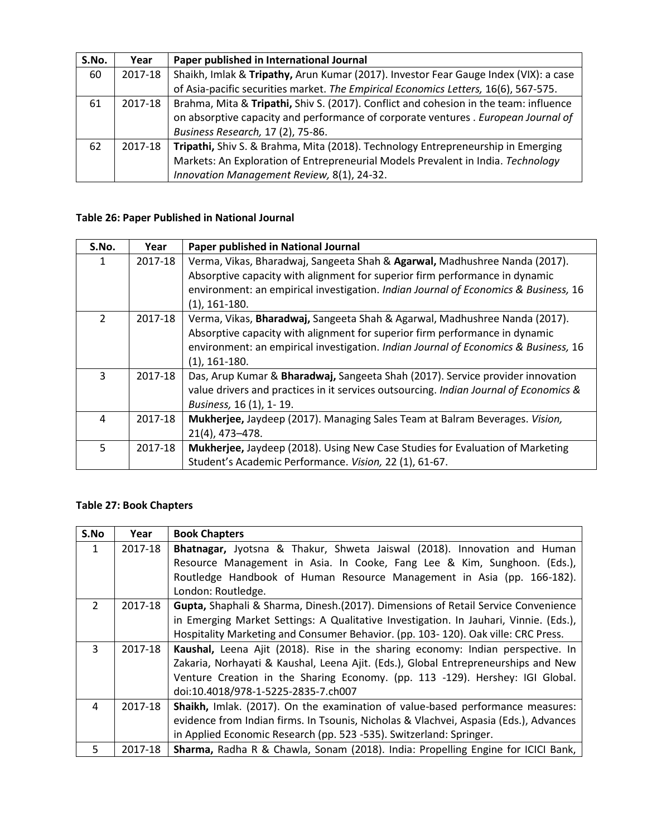| S.No. | Year    | Paper published in International Journal                                              |
|-------|---------|---------------------------------------------------------------------------------------|
| 60    | 2017-18 | Shaikh, Imlak & Tripathy, Arun Kumar (2017). Investor Fear Gauge Index (VIX): a case  |
|       |         | of Asia-pacific securities market. The Empirical Economics Letters, 16(6), 567-575.   |
| 61    | 2017-18 | Brahma, Mita & Tripathi, Shiv S. (2017). Conflict and cohesion in the team: influence |
|       |         | on absorptive capacity and performance of corporate ventures . European Journal of    |
|       |         | Business Research, 17 (2), 75-86.                                                     |
| 62    | 2017-18 | Tripathi, Shiv S. & Brahma, Mita (2018). Technology Entrepreneurship in Emerging      |
|       |         | Markets: An Exploration of Entrepreneurial Models Prevalent in India. Technology      |
|       |         | Innovation Management Review, 8(1), 24-32.                                            |

## **Table 26: Paper Published in National Journal**

| S.No.          | Year    | Paper published in National Journal                                                   |
|----------------|---------|---------------------------------------------------------------------------------------|
| 1              | 2017-18 | Verma, Vikas, Bharadwaj, Sangeeta Shah & Agarwal, Madhushree Nanda (2017).            |
|                |         | Absorptive capacity with alignment for superior firm performance in dynamic           |
|                |         | environment: an empirical investigation. Indian Journal of Economics & Business, 16   |
|                |         | $(1)$ , 161-180.                                                                      |
| $\overline{2}$ | 2017-18 | Verma, Vikas, Bharadwaj, Sangeeta Shah & Agarwal, Madhushree Nanda (2017).            |
|                |         | Absorptive capacity with alignment for superior firm performance in dynamic           |
|                |         | environment: an empirical investigation. Indian Journal of Economics & Business, 16   |
|                |         | $(1), 161-180.$                                                                       |
| 3              | 2017-18 | Das, Arup Kumar & Bharadwaj, Sangeeta Shah (2017). Service provider innovation        |
|                |         | value drivers and practices in it services outsourcing. Indian Journal of Economics & |
|                |         | Business, 16 (1), 1-19.                                                               |
| 4              | 2017-18 | Mukherjee, Jaydeep (2017). Managing Sales Team at Balram Beverages. Vision,           |
|                |         | 21(4), 473-478.                                                                       |
| 5              | 2017-18 | Mukherjee, Jaydeep (2018). Using New Case Studies for Evaluation of Marketing         |
|                |         | Student's Academic Performance. Vision, 22 (1), 61-67.                                |

### **Table 27: Book Chapters**

| S.No           | Year    | <b>Book Chapters</b>                                                                  |
|----------------|---------|---------------------------------------------------------------------------------------|
| $\mathbf{1}$   | 2017-18 | Bhatnagar, Jyotsna & Thakur, Shweta Jaiswal (2018). Innovation and Human              |
|                |         | Resource Management in Asia. In Cooke, Fang Lee & Kim, Sunghoon. (Eds.),              |
|                |         | Routledge Handbook of Human Resource Management in Asia (pp. 166-182).                |
|                |         | London: Routledge.                                                                    |
| $\overline{2}$ | 2017-18 | Gupta, Shaphali & Sharma, Dinesh.(2017). Dimensions of Retail Service Convenience     |
|                |         | in Emerging Market Settings: A Qualitative Investigation. In Jauhari, Vinnie. (Eds.), |
|                |         | Hospitality Marketing and Consumer Behavior. (pp. 103-120). Oak ville: CRC Press.     |
| 3              | 2017-18 | Kaushal, Leena Ajit (2018). Rise in the sharing economy: Indian perspective. In       |
|                |         | Zakaria, Norhayati & Kaushal, Leena Ajit. (Eds.), Global Entrepreneurships and New    |
|                |         | Venture Creation in the Sharing Economy. (pp. 113 -129). Hershey: IGI Global.         |
|                |         | doi:10.4018/978-1-5225-2835-7.ch007                                                   |
| 4              | 2017-18 | Shaikh, Imlak. (2017). On the examination of value-based performance measures:        |
|                |         | evidence from Indian firms. In Tsounis, Nicholas & Vlachvei, Aspasia (Eds.), Advances |
|                |         | in Applied Economic Research (pp. 523 -535). Switzerland: Springer.                   |
| 5.             | 2017-18 | Sharma, Radha R & Chawla, Sonam (2018). India: Propelling Engine for ICICI Bank,      |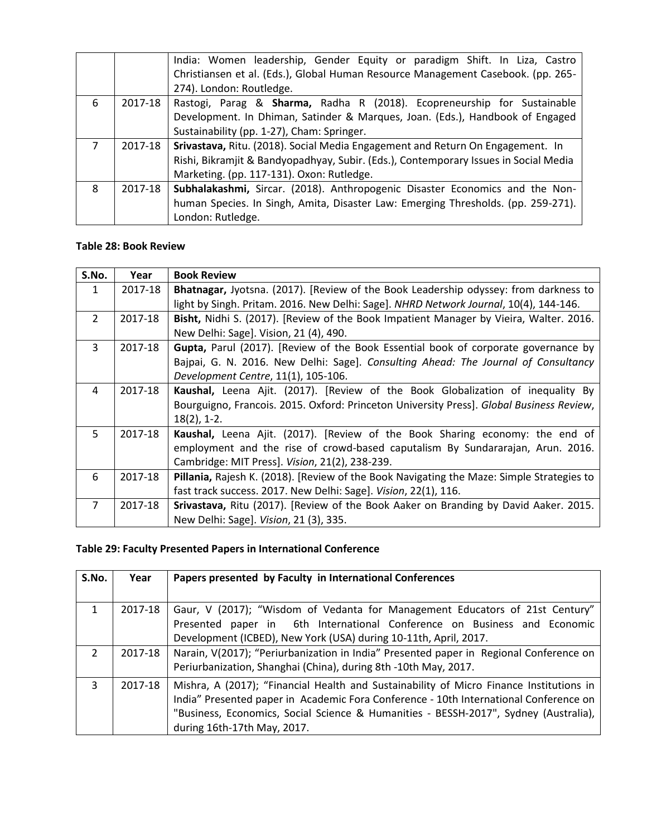|                |         | India: Women leadership, Gender Equity or paradigm Shift. In Liza, Castro            |
|----------------|---------|--------------------------------------------------------------------------------------|
|                |         | Christiansen et al. (Eds.), Global Human Resource Management Casebook. (pp. 265-     |
|                |         | 274). London: Routledge.                                                             |
| 6              | 2017-18 | Rastogi, Parag & Sharma, Radha R (2018). Ecopreneurship for Sustainable              |
|                |         | Development. In Dhiman, Satinder & Marques, Joan. (Eds.), Handbook of Engaged        |
|                |         | Sustainability (pp. 1-27), Cham: Springer.                                           |
| $\overline{7}$ | 2017-18 | Srivastava, Ritu. (2018). Social Media Engagement and Return On Engagement. In       |
|                |         | Rishi, Bikramjit & Bandyopadhyay, Subir. (Eds.), Contemporary Issues in Social Media |
|                |         | Marketing. (pp. 117-131). Oxon: Rutledge.                                            |
| 8              | 2017-18 | Subhalakashmi, Sircar. (2018). Anthropogenic Disaster Economics and the Non-         |
|                |         | human Species. In Singh, Amita, Disaster Law: Emerging Thresholds. (pp. 259-271).    |
|                |         | London: Rutledge.                                                                    |

#### **Table 28: Book Review**

| S.No.          | Year    | <b>Book Review</b>                                                                        |
|----------------|---------|-------------------------------------------------------------------------------------------|
| $\mathbf{1}$   | 2017-18 | Bhatnagar, Jyotsna. (2017). [Review of the Book Leadership odyssey: from darkness to      |
|                |         | light by Singh. Pritam. 2016. New Delhi: Sage]. NHRD Network Journal, 10(4), 144-146.     |
| $\overline{2}$ | 2017-18 | Bisht, Nidhi S. (2017). [Review of the Book Impatient Manager by Vieira, Walter. 2016.    |
|                |         | New Delhi: Sage]. Vision, 21 (4), 490.                                                    |
| $\overline{3}$ | 2017-18 | <b>Gupta, Parul (2017).</b> [Review of the Book Essential book of corporate governance by |
|                |         | Bajpai, G. N. 2016. New Delhi: Sage]. Consulting Ahead: The Journal of Consultancy        |
|                |         | Development Centre, 11(1), 105-106.                                                       |
| 4              | 2017-18 | Kaushal, Leena Ajit. (2017). [Review of the Book Globalization of inequality By           |
|                |         | Bourguigno, Francois. 2015. Oxford: Princeton University Press]. Global Business Review,  |
|                |         | $18(2)$ , 1-2.                                                                            |
| 5              | 2017-18 | Kaushal, Leena Ajit. (2017). [Review of the Book Sharing economy: the end of              |
|                |         | employment and the rise of crowd-based caputalism By Sundararajan, Arun. 2016.            |
|                |         | Cambridge: MIT Press]. Vision, 21(2), 238-239.                                            |
| 6              | 2017-18 | Pillania, Rajesh K. (2018). [Review of the Book Navigating the Maze: Simple Strategies to |
|                |         | fast track success. 2017. New Delhi: Sage]. Vision, 22(1), 116.                           |
| $\overline{7}$ | 2017-18 | Srivastava, Ritu (2017). [Review of the Book Aaker on Branding by David Aaker. 2015.      |
|                |         | New Delhi: Sage]. Vision, 21 (3), 335.                                                    |

# **Table 29: Faculty Presented Papers in International Conference**

| S.No.          | Year    | Papers presented by Faculty in International Conferences                                                                                                                                                                                                                                                |
|----------------|---------|---------------------------------------------------------------------------------------------------------------------------------------------------------------------------------------------------------------------------------------------------------------------------------------------------------|
| $\mathbf{1}$   | 2017-18 | Gaur, V (2017); "Wisdom of Vedanta for Management Educators of 21st Century"<br>Presented paper in 6th International Conference on Business and Economic<br>Development (ICBED), New York (USA) during 10-11th, April, 2017.                                                                            |
| $\overline{2}$ | 2017-18 | Narain, V(2017); "Periurbanization in India" Presented paper in Regional Conference on<br>Periurbanization, Shanghai (China), during 8th -10th May, 2017.                                                                                                                                               |
| 3              | 2017-18 | Mishra, A (2017); "Financial Health and Sustainability of Micro Finance Institutions in<br>India" Presented paper in Academic Fora Conference - 10th International Conference on<br>"Business, Economics, Social Science & Humanities - BESSH-2017", Sydney (Australia),<br>during 16th-17th May, 2017. |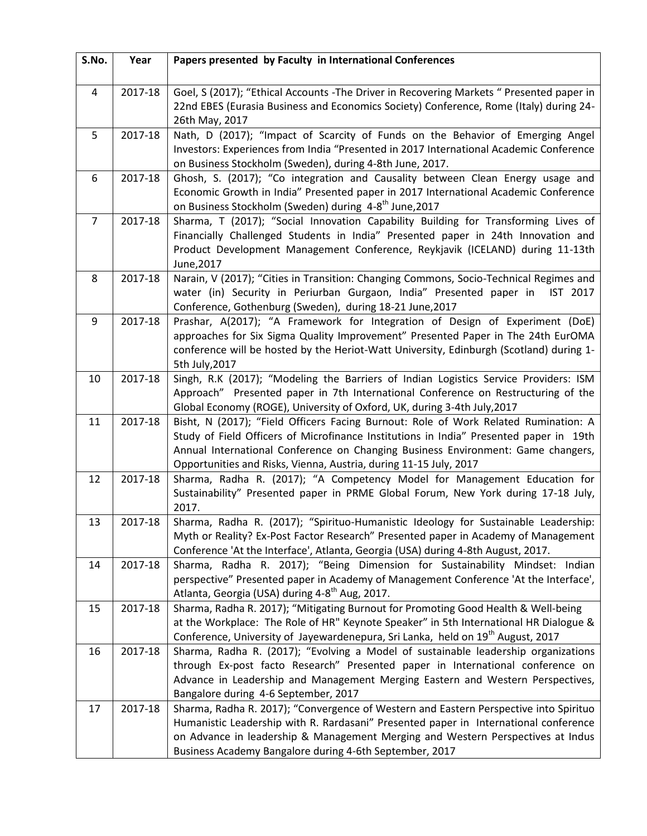| S.No.          | Year    | Papers presented by Faculty in International Conferences                                                                                                                                                                                                                                                                               |
|----------------|---------|----------------------------------------------------------------------------------------------------------------------------------------------------------------------------------------------------------------------------------------------------------------------------------------------------------------------------------------|
| 4              | 2017-18 | Goel, S (2017); "Ethical Accounts -The Driver in Recovering Markets " Presented paper in<br>22nd EBES (Eurasia Business and Economics Society) Conference, Rome (Italy) during 24-<br>26th May, 2017                                                                                                                                   |
| 5              | 2017-18 | Nath, D (2017); "Impact of Scarcity of Funds on the Behavior of Emerging Angel<br>Investors: Experiences from India "Presented in 2017 International Academic Conference<br>on Business Stockholm (Sweden), during 4-8th June, 2017.                                                                                                   |
| 6              | 2017-18 | Ghosh, S. (2017); "Co integration and Causality between Clean Energy usage and<br>Economic Growth in India" Presented paper in 2017 International Academic Conference<br>on Business Stockholm (Sweden) during 4-8 <sup>th</sup> June, 2017                                                                                            |
| $\overline{7}$ | 2017-18 | Sharma, T (2017); "Social Innovation Capability Building for Transforming Lives of<br>Financially Challenged Students in India" Presented paper in 24th Innovation and<br>Product Development Management Conference, Reykjavik (ICELAND) during 11-13th<br>June, 2017                                                                  |
| 8              | 2017-18 | Narain, V (2017); "Cities in Transition: Changing Commons, Socio-Technical Regimes and<br>water (in) Security in Periurban Gurgaon, India" Presented paper in<br>IST 2017<br>Conference, Gothenburg (Sweden), during 18-21 June, 2017                                                                                                  |
| 9              | 2017-18 | Prashar, A(2017); "A Framework for Integration of Design of Experiment (DoE)<br>approaches for Six Sigma Quality Improvement" Presented Paper in The 24th EurOMA<br>conference will be hosted by the Heriot-Watt University, Edinburgh (Scotland) during 1-<br>5th July, 2017                                                          |
| 10             | 2017-18 | Singh, R.K (2017); "Modeling the Barriers of Indian Logistics Service Providers: ISM<br>Approach" Presented paper in 7th International Conference on Restructuring of the<br>Global Economy (ROGE), University of Oxford, UK, during 3-4th July, 2017                                                                                  |
| 11             | 2017-18 | Bisht, N (2017); "Field Officers Facing Burnout: Role of Work Related Rumination: A<br>Study of Field Officers of Microfinance Institutions in India" Presented paper in 19th<br>Annual International Conference on Changing Business Environment: Game changers,<br>Opportunities and Risks, Vienna, Austria, during 11-15 July, 2017 |
| 12             | 2017-18 | Sharma, Radha R. (2017); "A Competency Model for Management Education for<br>Sustainability" Presented paper in PRME Global Forum, New York during 17-18 July,<br>2017.                                                                                                                                                                |
| 13             | 2017-18 | Sharma, Radha R. (2017); "Spirituo-Humanistic Ideology for Sustainable Leadership:<br>Myth or Reality? Ex-Post Factor Research" Presented paper in Academy of Management<br>Conference 'At the Interface', Atlanta, Georgia (USA) during 4-8th August, 2017.                                                                           |
| 14             | 2017-18 | Sharma, Radha R. 2017); "Being Dimension for Sustainability Mindset: Indian<br>perspective" Presented paper in Academy of Management Conference 'At the Interface',<br>Atlanta, Georgia (USA) during 4-8 <sup>th</sup> Aug, 2017.                                                                                                      |
| 15             | 2017-18 | Sharma, Radha R. 2017); "Mitigating Burnout for Promoting Good Health & Well-being<br>at the Workplace: The Role of HR" Keynote Speaker" in 5th International HR Dialogue &<br>Conference, University of Jayewardenepura, Sri Lanka, held on 19 <sup>th</sup> August, 2017                                                             |
| 16             | 2017-18 | Sharma, Radha R. (2017); "Evolving a Model of sustainable leadership organizations<br>through Ex-post facto Research" Presented paper in International conference on<br>Advance in Leadership and Management Merging Eastern and Western Perspectives,<br>Bangalore during 4-6 September, 2017                                         |
| 17             | 2017-18 | Sharma, Radha R. 2017); "Convergence of Western and Eastern Perspective into Spirituo<br>Humanistic Leadership with R. Rardasani" Presented paper in International conference<br>on Advance in leadership & Management Merging and Western Perspectives at Indus<br>Business Academy Bangalore during 4-6th September, 2017            |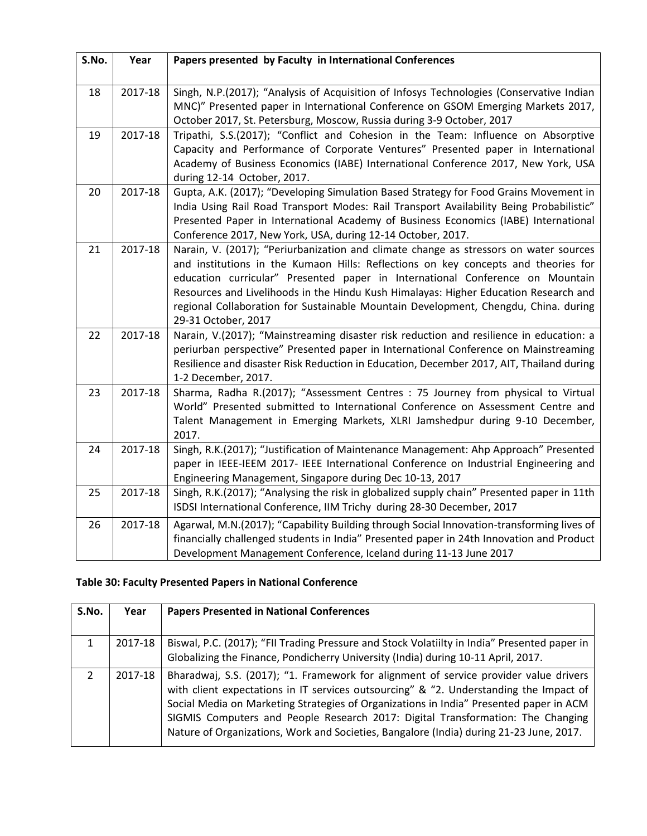| S.No. | Year    | Papers presented by Faculty in International Conferences                                                                                                              |
|-------|---------|-----------------------------------------------------------------------------------------------------------------------------------------------------------------------|
|       |         |                                                                                                                                                                       |
| 18    | 2017-18 | Singh, N.P.(2017); "Analysis of Acquisition of Infosys Technologies (Conservative Indian                                                                              |
|       |         | MNC)" Presented paper in International Conference on GSOM Emerging Markets 2017,                                                                                      |
|       |         | October 2017, St. Petersburg, Moscow, Russia during 3-9 October, 2017                                                                                                 |
| 19    | 2017-18 | Tripathi, S.S.(2017); "Conflict and Cohesion in the Team: Influence on Absorptive                                                                                     |
|       |         | Capacity and Performance of Corporate Ventures" Presented paper in International<br>Academy of Business Economics (IABE) International Conference 2017, New York, USA |
|       |         | during 12-14 October, 2017.                                                                                                                                           |
| 20    | 2017-18 | Gupta, A.K. (2017); "Developing Simulation Based Strategy for Food Grains Movement in                                                                                 |
|       |         | India Using Rail Road Transport Modes: Rail Transport Availability Being Probabilistic"                                                                               |
|       |         | Presented Paper in International Academy of Business Economics (IABE) International                                                                                   |
|       |         | Conference 2017, New York, USA, during 12-14 October, 2017.                                                                                                           |
| 21    | 2017-18 | Narain, V. (2017); "Periurbanization and climate change as stressors on water sources                                                                                 |
|       |         | and institutions in the Kumaon Hills: Reflections on key concepts and theories for                                                                                    |
|       |         | education curricular" Presented paper in International Conference on Mountain                                                                                         |
|       |         | Resources and Livelihoods in the Hindu Kush Himalayas: Higher Education Research and                                                                                  |
|       |         | regional Collaboration for Sustainable Mountain Development, Chengdu, China. during<br>29-31 October, 2017                                                            |
| 22    | 2017-18 | Narain, V.(2017); "Mainstreaming disaster risk reduction and resilience in education: a                                                                               |
|       |         | periurban perspective" Presented paper in International Conference on Mainstreaming                                                                                   |
|       |         | Resilience and disaster Risk Reduction in Education, December 2017, AIT, Thailand during                                                                              |
|       |         | 1-2 December, 2017.                                                                                                                                                   |
| 23    | 2017-18 | Sharma, Radha R.(2017); "Assessment Centres : 75 Journey from physical to Virtual                                                                                     |
|       |         | World" Presented submitted to International Conference on Assessment Centre and                                                                                       |
|       |         | Talent Management in Emerging Markets, XLRI Jamshedpur during 9-10 December,                                                                                          |
|       |         | 2017.                                                                                                                                                                 |
| 24    | 2017-18 | Singh, R.K.(2017); "Justification of Maintenance Management: Ahp Approach" Presented                                                                                  |
|       |         | paper in IEEE-IEEM 2017- IEEE International Conference on Industrial Engineering and                                                                                  |
|       |         | Engineering Management, Singapore during Dec 10-13, 2017                                                                                                              |
| 25    | 2017-18 | Singh, R.K.(2017); "Analysing the risk in globalized supply chain" Presented paper in 11th                                                                            |
|       |         | ISDSI International Conference, IIM Trichy during 28-30 December, 2017                                                                                                |
| 26    | 2017-18 | Agarwal, M.N.(2017); "Capability Building through Social Innovation-transforming lives of                                                                             |
|       |         | financially challenged students in India" Presented paper in 24th Innovation and Product                                                                              |
|       |         | Development Management Conference, Iceland during 11-13 June 2017                                                                                                     |

## **Table 30: Faculty Presented Papers in National Conference**

| S.No.         | Year    | <b>Papers Presented in National Conferences</b>                                                                                                                                                                                                                                                                                                                                                                                                         |
|---------------|---------|---------------------------------------------------------------------------------------------------------------------------------------------------------------------------------------------------------------------------------------------------------------------------------------------------------------------------------------------------------------------------------------------------------------------------------------------------------|
| 1.            | 2017-18 | Biswal, P.C. (2017); "FII Trading Pressure and Stock Volatiilty in India" Presented paper in<br>Globalizing the Finance, Pondicherry University (India) during 10-11 April, 2017.                                                                                                                                                                                                                                                                       |
| $\mathcal{P}$ | 2017-18 | Bharadwaj, S.S. (2017); "1. Framework for alignment of service provider value drivers<br>with client expectations in IT services outsourcing" & "2. Understanding the Impact of<br>Social Media on Marketing Strategies of Organizations in India" Presented paper in ACM<br>SIGMIS Computers and People Research 2017: Digital Transformation: The Changing<br>Nature of Organizations, Work and Societies, Bangalore (India) during 21-23 June, 2017. |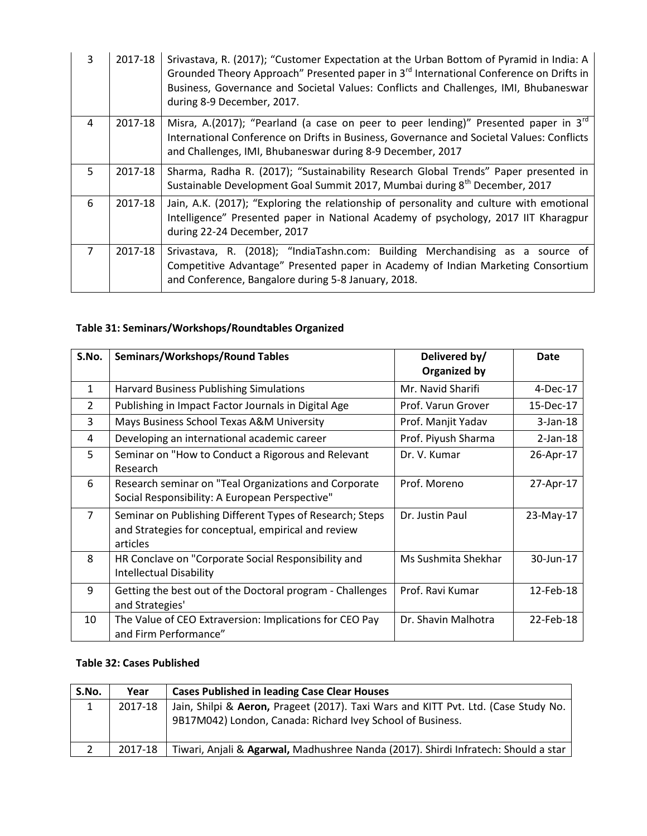| 3              | 2017-18 | Srivastava, R. (2017); "Customer Expectation at the Urban Bottom of Pyramid in India: A<br>Grounded Theory Approach" Presented paper in 3 <sup>rd</sup> International Conference on Drifts in<br>Business, Governance and Societal Values: Conflicts and Challenges, IMI, Bhubaneswar<br>during 8-9 December, 2017. |  |
|----------------|---------|---------------------------------------------------------------------------------------------------------------------------------------------------------------------------------------------------------------------------------------------------------------------------------------------------------------------|--|
| 4              | 2017-18 | Misra, A.(2017); "Pearland (a case on peer to peer lending)" Presented paper in $3^{rd}$<br>International Conference on Drifts in Business, Governance and Societal Values: Conflicts<br>and Challenges, IMI, Bhubaneswar during 8-9 December, 2017                                                                 |  |
| 5              | 2017-18 | Sharma, Radha R. (2017); "Sustainability Research Global Trends" Paper presented in<br>Sustainable Development Goal Summit 2017, Mumbai during 8 <sup>th</sup> December, 2017                                                                                                                                       |  |
| 6              | 2017-18 | Jain, A.K. (2017); "Exploring the relationship of personality and culture with emotional<br>Intelligence" Presented paper in National Academy of psychology, 2017 IIT Kharagpur<br>during 22-24 December, 2017                                                                                                      |  |
| $\overline{7}$ | 2017-18 | Srivastava, R. (2018); "IndiaTashn.com: Building Merchandising as a source of<br>Competitive Advantage" Presented paper in Academy of Indian Marketing Consortium<br>and Conference, Bangalore during 5-8 January, 2018.                                                                                            |  |

# **Table 31: Seminars/Workshops/Roundtables Organized**

| S.No.          | <b>Seminars/Workshops/Round Tables</b>                                                                                      | Delivered by/<br><b>Organized by</b> | Date        |
|----------------|-----------------------------------------------------------------------------------------------------------------------------|--------------------------------------|-------------|
| $\mathbf{1}$   | <b>Harvard Business Publishing Simulations</b>                                                                              | Mr. Navid Sharifi                    | 4-Dec-17    |
| 2              | Publishing in Impact Factor Journals in Digital Age                                                                         | Prof. Varun Grover                   | 15-Dec-17   |
| 3              | Mays Business School Texas A&M University                                                                                   | Prof. Manjit Yadav                   | $3-Jan-18$  |
| 4              | Developing an international academic career                                                                                 | Prof. Piyush Sharma                  | $2$ -Jan-18 |
| 5              | Seminar on "How to Conduct a Rigorous and Relevant<br>Research                                                              | Dr. V. Kumar                         | 26-Apr-17   |
| 6              | Research seminar on "Teal Organizations and Corporate<br>Social Responsibility: A European Perspective"                     | Prof. Moreno                         | 27-Apr-17   |
| $\overline{7}$ | Seminar on Publishing Different Types of Research; Steps<br>and Strategies for conceptual, empirical and review<br>articles | Dr. Justin Paul                      | 23-May-17   |
| 8              | HR Conclave on "Corporate Social Responsibility and<br><b>Intellectual Disability</b>                                       | Ms Sushmita Shekhar                  | 30-Jun-17   |
| 9              | Getting the best out of the Doctoral program - Challenges<br>and Strategies'                                                | Prof. Ravi Kumar                     | 12-Feb-18   |
| 10             | The Value of CEO Extraversion: Implications for CEO Pay<br>and Firm Performance"                                            | Dr. Shavin Malhotra                  | 22-Feb-18   |

### **Table 32: Cases Published**

| S.No. | Year    | <b>Cases Published in leading Case Clear Houses</b>                                |
|-------|---------|------------------------------------------------------------------------------------|
|       | 2017-18 | Jain, Shilpi & Aeron, Prageet (2017). Taxi Wars and KITT Pvt. Ltd. (Case Study No. |
|       |         | 9B17M042) London, Canada: Richard Ivey School of Business.                         |
| 2     | 2017-18 | Tiwari, Anjali & Agarwal, Madhushree Nanda (2017). Shirdi Infratech: Should a star |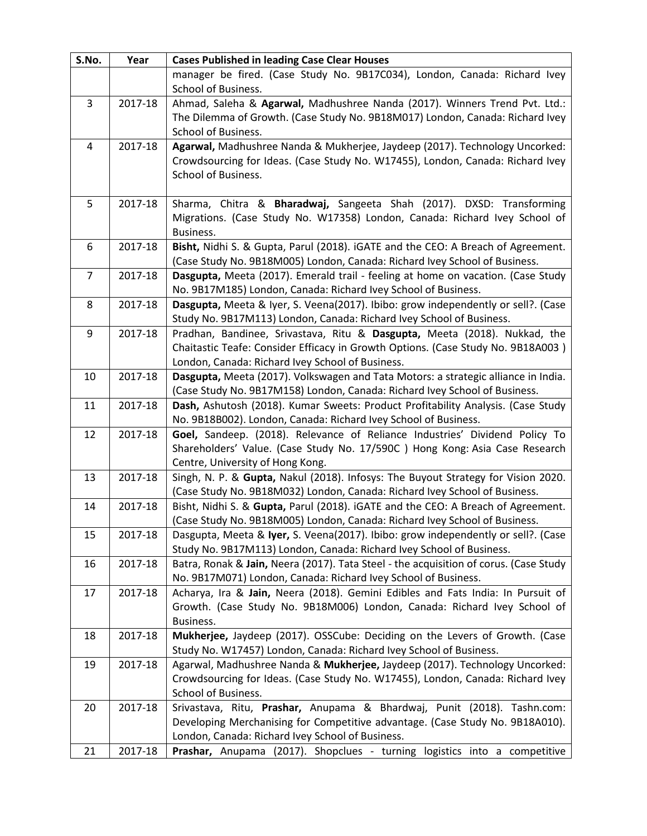| S.No.          | Year    | <b>Cases Published in leading Case Clear Houses</b>                                                                                                             |  |
|----------------|---------|-----------------------------------------------------------------------------------------------------------------------------------------------------------------|--|
|                |         | manager be fired. (Case Study No. 9B17C034), London, Canada: Richard Ivey                                                                                       |  |
|                |         | School of Business.                                                                                                                                             |  |
| $\overline{3}$ | 2017-18 | Ahmad, Saleha & Agarwal, Madhushree Nanda (2017). Winners Trend Pvt. Ltd.:                                                                                      |  |
|                |         | The Dilemma of Growth. (Case Study No. 9B18M017) London, Canada: Richard Ivey                                                                                   |  |
|                |         | School of Business.                                                                                                                                             |  |
| 4              | 2017-18 | Agarwal, Madhushree Nanda & Mukherjee, Jaydeep (2017). Technology Uncorked:                                                                                     |  |
|                |         | Crowdsourcing for Ideas. (Case Study No. W17455), London, Canada: Richard Ivey                                                                                  |  |
|                |         | School of Business.                                                                                                                                             |  |
|                |         |                                                                                                                                                                 |  |
| 5              | 2017-18 | Sharma, Chitra & Bharadwaj, Sangeeta Shah (2017). DXSD: Transforming                                                                                            |  |
|                |         | Migrations. (Case Study No. W17358) London, Canada: Richard Ivey School of                                                                                      |  |
|                |         | Business.                                                                                                                                                       |  |
| 6              | 2017-18 | Bisht, Nidhi S. & Gupta, Parul (2018). iGATE and the CEO: A Breach of Agreement.                                                                                |  |
|                |         | (Case Study No. 9B18M005) London, Canada: Richard Ivey School of Business.                                                                                      |  |
| $\overline{7}$ | 2017-18 | Dasgupta, Meeta (2017). Emerald trail - feeling at home on vacation. (Case Study                                                                                |  |
|                |         | No. 9B17M185) London, Canada: Richard Ivey School of Business.                                                                                                  |  |
| 8              | 2017-18 | Dasgupta, Meeta & Iyer, S. Veena(2017). Ibibo: grow independently or sell?. (Case                                                                               |  |
|                |         | Study No. 9B17M113) London, Canada: Richard Ivey School of Business.                                                                                            |  |
| 9              | 2017-18 | Pradhan, Bandinee, Srivastava, Ritu & Dasgupta, Meeta (2018). Nukkad, the                                                                                       |  |
|                |         | Chaitastic Teafe: Consider Efficacy in Growth Options. (Case Study No. 9B18A003)                                                                                |  |
|                |         | London, Canada: Richard Ivey School of Business.                                                                                                                |  |
| 10             | 2017-18 | Dasgupta, Meeta (2017). Volkswagen and Tata Motors: a strategic alliance in India.                                                                              |  |
|                |         | (Case Study No. 9B17M158) London, Canada: Richard Ivey School of Business.                                                                                      |  |
| 11             | 2017-18 | Dash, Ashutosh (2018). Kumar Sweets: Product Profitability Analysis. (Case Study                                                                                |  |
|                |         | No. 9B18B002). London, Canada: Richard Ivey School of Business.                                                                                                 |  |
| 12             | 2017-18 | Goel, Sandeep. (2018). Relevance of Reliance Industries' Dividend Policy To                                                                                     |  |
|                |         | Shareholders' Value. (Case Study No. 17/590C) Hong Kong: Asia Case Research                                                                                     |  |
|                |         | Centre, University of Hong Kong.                                                                                                                                |  |
| 13             | 2017-18 | Singh, N. P. & Gupta, Nakul (2018). Infosys: The Buyout Strategy for Vision 2020.<br>(Case Study No. 9B18M032) London, Canada: Richard Ivey School of Business. |  |
| 14             | 2017-18 | Bisht, Nidhi S. & Gupta, Parul (2018). iGATE and the CEO: A Breach of Agreement.                                                                                |  |
|                |         | (Case Study No. 9B18M005) London, Canada: Richard Ivey School of Business.                                                                                      |  |
| 15             | 2017-18 | Dasgupta, Meeta & Iyer, S. Veena(2017). Ibibo: grow independently or sell?. (Case                                                                               |  |
|                |         | Study No. 9B17M113) London, Canada: Richard Ivey School of Business.                                                                                            |  |
| 16             | 2017-18 | Batra, Ronak & Jain, Neera (2017). Tata Steel - the acquisition of corus. (Case Study                                                                           |  |
|                |         | No. 9B17M071) London, Canada: Richard Ivey School of Business.                                                                                                  |  |
| 17             | 2017-18 | Acharya, Ira & Jain, Neera (2018). Gemini Edibles and Fats India: In Pursuit of                                                                                 |  |
|                |         | Growth. (Case Study No. 9B18M006) London, Canada: Richard Ivey School of                                                                                        |  |
|                |         | Business.                                                                                                                                                       |  |
| 18             | 2017-18 | Mukherjee, Jaydeep (2017). OSSCube: Deciding on the Levers of Growth. (Case                                                                                     |  |
|                |         | Study No. W17457) London, Canada: Richard Ivey School of Business.                                                                                              |  |
| 19             | 2017-18 | Agarwal, Madhushree Nanda & Mukherjee, Jaydeep (2017). Technology Uncorked:                                                                                     |  |
|                |         | Crowdsourcing for Ideas. (Case Study No. W17455), London, Canada: Richard Ivey                                                                                  |  |
|                |         | School of Business.                                                                                                                                             |  |
| 20             | 2017-18 | Srivastava, Ritu, Prashar, Anupama & Bhardwaj, Punit (2018). Tashn.com:                                                                                         |  |
|                |         | Developing Merchanising for Competitive advantage. (Case Study No. 9B18A010).                                                                                   |  |
|                |         | London, Canada: Richard Ivey School of Business.                                                                                                                |  |
| 21             | 2017-18 | Prashar, Anupama (2017). Shopclues - turning logistics into a competitive                                                                                       |  |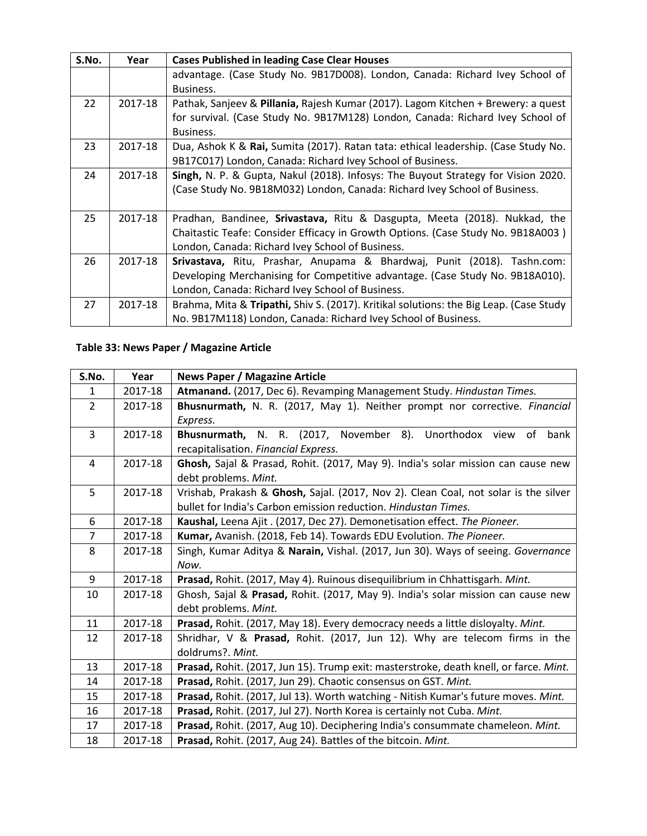| S.No. | Year    | <b>Cases Published in leading Case Clear Houses</b>                                    |
|-------|---------|----------------------------------------------------------------------------------------|
|       |         | advantage. (Case Study No. 9B17D008). London, Canada: Richard Ivey School of           |
|       |         | Business.                                                                              |
| 22    | 2017-18 | Pathak, Sanjeev & Pillania, Rajesh Kumar (2017). Lagom Kitchen + Brewery: a quest      |
|       |         | for survival. (Case Study No. 9B17M128) London, Canada: Richard Ivey School of         |
|       |         | Business.                                                                              |
| 23    | 2017-18 | Dua, Ashok K & Rai, Sumita (2017). Ratan tata: ethical leadership. (Case Study No.     |
|       |         | 9B17C017) London, Canada: Richard Ivey School of Business.                             |
| 24    | 2017-18 | Singh, N. P. & Gupta, Nakul (2018). Infosys: The Buyout Strategy for Vision 2020.      |
|       |         | (Case Study No. 9B18M032) London, Canada: Richard Ivey School of Business.             |
|       |         |                                                                                        |
| 25    | 2017-18 | Pradhan, Bandinee, Srivastava, Ritu & Dasgupta, Meeta (2018). Nukkad, the              |
|       |         | Chaitastic Teafe: Consider Efficacy in Growth Options. (Case Study No. 9B18A003)       |
|       |         | London, Canada: Richard Ivey School of Business.                                       |
| 26    | 2017-18 | Srivastava, Ritu, Prashar, Anupama & Bhardwaj, Punit (2018). Tashn.com:                |
|       |         | Developing Merchanising for Competitive advantage. (Case Study No. 9B18A010).          |
|       |         | London, Canada: Richard Ivey School of Business.                                       |
| 27    | 2017-18 | Brahma, Mita & Tripathi, Shiv S. (2017). Kritikal solutions: the Big Leap. (Case Study |
|       |         | No. 9B17M118) London, Canada: Richard Ivey School of Business.                         |

## **Table 33: News Paper / Magazine Article**

| S.No.          | Year    | <b>News Paper / Magazine Article</b>                                                  |  |
|----------------|---------|---------------------------------------------------------------------------------------|--|
| 1              | 2017-18 | Atmanand. (2017, Dec 6). Revamping Management Study. Hindustan Times.                 |  |
| $\overline{2}$ | 2017-18 | Bhusnurmath, N. R. (2017, May 1). Neither prompt nor corrective. Financial            |  |
|                |         | Express.                                                                              |  |
| 3              | 2017-18 | Bhusnurmath, N. R. (2017, November 8).<br>Unorthodox view<br>of<br>bank               |  |
|                |         | recapitalisation. Financial Express.                                                  |  |
| $\overline{4}$ | 2017-18 | Ghosh, Sajal & Prasad, Rohit. (2017, May 9). India's solar mission can cause new      |  |
|                |         | debt problems. Mint.                                                                  |  |
| 5              | 2017-18 | Vrishab, Prakash & Ghosh, Sajal. (2017, Nov 2). Clean Coal, not solar is the silver   |  |
|                |         | bullet for India's Carbon emission reduction. Hindustan Times.                        |  |
| 6              | 2017-18 | Kaushal, Leena Ajit. (2017, Dec 27). Demonetisation effect. The Pioneer.              |  |
| $\overline{7}$ | 2017-18 | Kumar, Avanish. (2018, Feb 14). Towards EDU Evolution. The Pioneer.                   |  |
| 8              | 2017-18 | Singh, Kumar Aditya & Narain, Vishal. (2017, Jun 30). Ways of seeing. Governance      |  |
|                |         | Now.                                                                                  |  |
| 9              | 2017-18 | Prasad, Rohit. (2017, May 4). Ruinous disequilibrium in Chhattisgarh. Mint.           |  |
| 10             | 2017-18 | Ghosh, Sajal & Prasad, Rohit. (2017, May 9). India's solar mission can cause new      |  |
|                |         | debt problems. Mint.                                                                  |  |
| 11             | 2017-18 | Prasad, Rohit. (2017, May 18). Every democracy needs a little disloyalty. Mint.       |  |
| 12             | 2017-18 | Shridhar, V & Prasad, Rohit. (2017, Jun 12). Why are telecom firms in the             |  |
|                |         | doldrums?. Mint.                                                                      |  |
| 13             | 2017-18 | Prasad, Rohit. (2017, Jun 15). Trump exit: masterstroke, death knell, or farce. Mint. |  |
| 14             | 2017-18 | Prasad, Rohit. (2017, Jun 29). Chaotic consensus on GST. Mint.                        |  |
| 15             | 2017-18 | Prasad, Rohit. (2017, Jul 13). Worth watching - Nitish Kumar's future moves. Mint.    |  |
| 16             | 2017-18 | Prasad, Rohit. (2017, Jul 27). North Korea is certainly not Cuba. Mint.               |  |
| 17             | 2017-18 | Prasad, Rohit. (2017, Aug 10). Deciphering India's consummate chameleon. Mint.        |  |
| 18             | 2017-18 | Prasad, Rohit. (2017, Aug 24). Battles of the bitcoin. Mint.                          |  |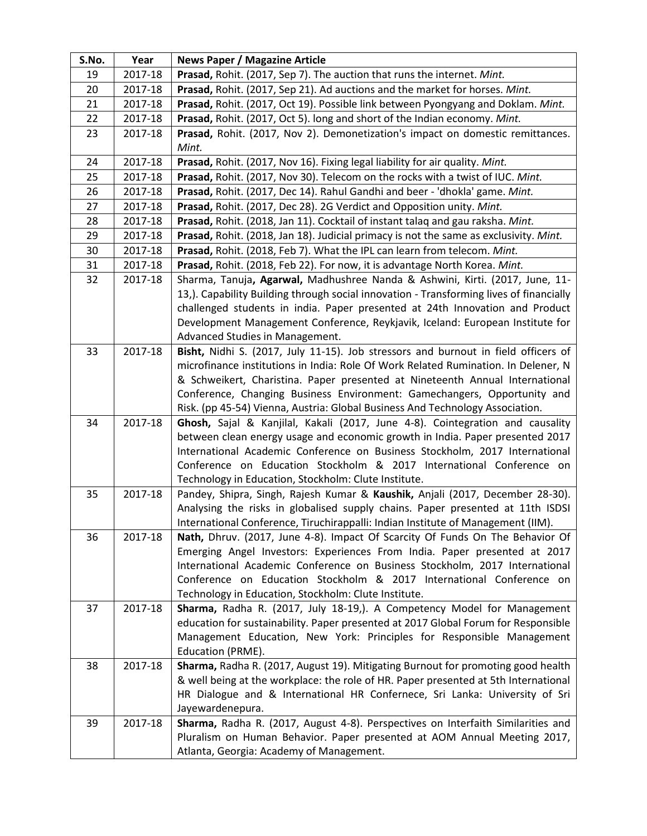| S.No. | Year                                                                                      | <b>News Paper / Magazine Article</b>                                                                                                                     |  |
|-------|-------------------------------------------------------------------------------------------|----------------------------------------------------------------------------------------------------------------------------------------------------------|--|
| 19    | 2017-18                                                                                   | Prasad, Rohit. (2017, Sep 7). The auction that runs the internet. Mint.                                                                                  |  |
| 20    | 2017-18                                                                                   | Prasad, Rohit. (2017, Sep 21). Ad auctions and the market for horses. Mint.                                                                              |  |
| 21    | 2017-18                                                                                   | Prasad, Rohit. (2017, Oct 19). Possible link between Pyongyang and Doklam. Mint.                                                                         |  |
| 22    | 2017-18                                                                                   | Prasad, Rohit. (2017, Oct 5). long and short of the Indian economy. Mint.                                                                                |  |
| 23    | 2017-18<br>Prasad, Rohit. (2017, Nov 2). Demonetization's impact on domestic remittances. |                                                                                                                                                          |  |
|       |                                                                                           | Mint.                                                                                                                                                    |  |
| 24    | 2017-18                                                                                   | Prasad, Rohit. (2017, Nov 16). Fixing legal liability for air quality. Mint.                                                                             |  |
| 25    | 2017-18                                                                                   | Prasad, Rohit. (2017, Nov 30). Telecom on the rocks with a twist of IUC. Mint.                                                                           |  |
| 26    | 2017-18                                                                                   | Prasad, Rohit. (2017, Dec 14). Rahul Gandhi and beer - 'dhokla' game. Mint.                                                                              |  |
| 27    | 2017-18                                                                                   | Prasad, Rohit. (2017, Dec 28). 2G Verdict and Opposition unity. Mint.                                                                                    |  |
| 28    | 2017-18                                                                                   | Prasad, Rohit. (2018, Jan 11). Cocktail of instant talaq and gau raksha. Mint.                                                                           |  |
| 29    | 2017-18                                                                                   | Prasad, Rohit. (2018, Jan 18). Judicial primacy is not the same as exclusivity. Mint.                                                                    |  |
| 30    | 2017-18                                                                                   | Prasad, Rohit. (2018, Feb 7). What the IPL can learn from telecom. Mint.                                                                                 |  |
| 31    | 2017-18                                                                                   | Prasad, Rohit. (2018, Feb 22). For now, it is advantage North Korea. Mint.                                                                               |  |
| 32    | 2017-18                                                                                   | Sharma, Tanuja, Agarwal, Madhushree Nanda & Ashwini, Kirti. (2017, June, 11-                                                                             |  |
|       |                                                                                           | 13,). Capability Building through social innovation - Transforming lives of financially                                                                  |  |
|       |                                                                                           | challenged students in india. Paper presented at 24th Innovation and Product                                                                             |  |
|       |                                                                                           | Development Management Conference, Reykjavik, Iceland: European Institute for                                                                            |  |
|       |                                                                                           | Advanced Studies in Management.                                                                                                                          |  |
| 33    | 2017-18                                                                                   | Bisht, Nidhi S. (2017, July 11-15). Job stressors and burnout in field officers of                                                                       |  |
|       |                                                                                           | microfinance institutions in India: Role Of Work Related Rumination. In Delener, N                                                                       |  |
|       |                                                                                           | & Schweikert, Charistina. Paper presented at Nineteenth Annual International<br>Conference, Changing Business Environment: Gamechangers, Opportunity and |  |
|       |                                                                                           | Risk. (pp 45-54) Vienna, Austria: Global Business And Technology Association.                                                                            |  |
| 34    | 2017-18                                                                                   | Ghosh, Sajal & Kanjilal, Kakali (2017, June 4-8). Cointegration and causality                                                                            |  |
|       |                                                                                           | between clean energy usage and economic growth in India. Paper presented 2017                                                                            |  |
|       |                                                                                           | International Academic Conference on Business Stockholm, 2017 International                                                                              |  |
|       |                                                                                           | Conference on Education Stockholm & 2017 International Conference on                                                                                     |  |
|       |                                                                                           | Technology in Education, Stockholm: Clute Institute.                                                                                                     |  |
| 35    | 2017-18                                                                                   | Pandey, Shipra, Singh, Rajesh Kumar & Kaushik, Anjali (2017, December 28-30).                                                                            |  |
|       |                                                                                           | Analysing the risks in globalised supply chains. Paper presented at 11th ISDSI                                                                           |  |
|       |                                                                                           | International Conference, Tiruchirappalli: Indian Institute of Management (IIM).                                                                         |  |
| 36    | 2017-18                                                                                   | Nath, Dhruv. (2017, June 4-8). Impact Of Scarcity Of Funds On The Behavior Of                                                                            |  |
|       |                                                                                           | Emerging Angel Investors: Experiences From India. Paper presented at 2017                                                                                |  |
|       |                                                                                           | International Academic Conference on Business Stockholm, 2017 International                                                                              |  |
|       |                                                                                           | Conference on Education Stockholm & 2017 International Conference on                                                                                     |  |
|       |                                                                                           | Technology in Education, Stockholm: Clute Institute.                                                                                                     |  |
| 37    | 2017-18                                                                                   | Sharma, Radha R. (2017, July 18-19,). A Competency Model for Management                                                                                  |  |
|       |                                                                                           | education for sustainability. Paper presented at 2017 Global Forum for Responsible                                                                       |  |
|       |                                                                                           | Management Education, New York: Principles for Responsible Management<br>Education (PRME).                                                               |  |
| 38    | 2017-18                                                                                   | Sharma, Radha R. (2017, August 19). Mitigating Burnout for promoting good health                                                                         |  |
|       |                                                                                           | & well being at the workplace: the role of HR. Paper presented at 5th International                                                                      |  |
|       |                                                                                           | HR Dialogue and & International HR Confernece, Sri Lanka: University of Sri                                                                              |  |
|       |                                                                                           | Jayewardenepura.                                                                                                                                         |  |
| 39    | 2017-18                                                                                   | Sharma, Radha R. (2017, August 4-8). Perspectives on Interfaith Similarities and                                                                         |  |
|       |                                                                                           | Pluralism on Human Behavior. Paper presented at AOM Annual Meeting 2017,                                                                                 |  |
|       |                                                                                           | Atlanta, Georgia: Academy of Management.                                                                                                                 |  |